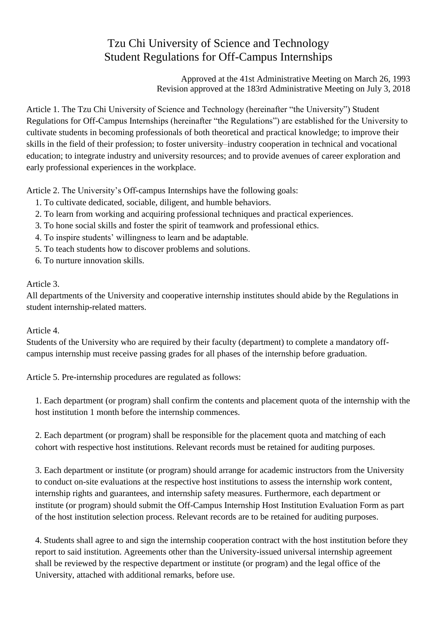## Tzu Chi University of Science and Technology Student Regulations for Off-Campus Internships

Approved at the 41st Administrative Meeting on March 26, 1993 Revision approved at the 183rd Administrative Meeting on July 3, 2018

Article 1. The Tzu Chi University of Science and Technology (hereinafter "the University") Student Regulations for Off-Campus Internships (hereinafter "the Regulations") are established for the University to cultivate students in becoming professionals of both theoretical and practical knowledge; to improve their skills in the field of their profession; to foster university–industry cooperation in technical and vocational education; to integrate industry and university resources; and to provide avenues of career exploration and early professional experiences in the workplace.

Article 2. The University's Off-campus Internships have the following goals:

- 1. To cultivate dedicated, sociable, diligent, and humble behaviors.
- 2. To learn from working and acquiring professional techniques and practical experiences.
- 3. To hone social skills and foster the spirit of teamwork and professional ethics.
- 4. To inspire students' willingness to learn and be adaptable.
- 5. To teach students how to discover problems and solutions.
- 6. To nurture innovation skills.

## Article 3.

All departments of the University and cooperative internship institutes should abide by the Regulations in student internship-related matters.

## Article 4.

Students of the University who are required by their faculty (department) to complete a mandatory offcampus internship must receive passing grades for all phases of the internship before graduation.

Article 5. Pre-internship procedures are regulated as follows:

1. Each department (or program) shall confirm the contents and placement quota of the internship with the host institution 1 month before the internship commences.

2. Each department (or program) shall be responsible for the placement quota and matching of each cohort with respective host institutions. Relevant records must be retained for auditing purposes.

3. Each department or institute (or program) should arrange for academic instructors from the University to conduct on-site evaluations at the respective host institutions to assess the internship work content, internship rights and guarantees, and internship safety measures. Furthermore, each department or institute (or program) should submit the Off-Campus Internship Host Institution Evaluation Form as part of the host institution selection process. Relevant records are to be retained for auditing purposes.

4. Students shall agree to and sign the internship cooperation contract with the host institution before they report to said institution. Agreements other than the University-issued universal internship agreement shall be reviewed by the respective department or institute (or program) and the legal office of the University, attached with additional remarks, before use.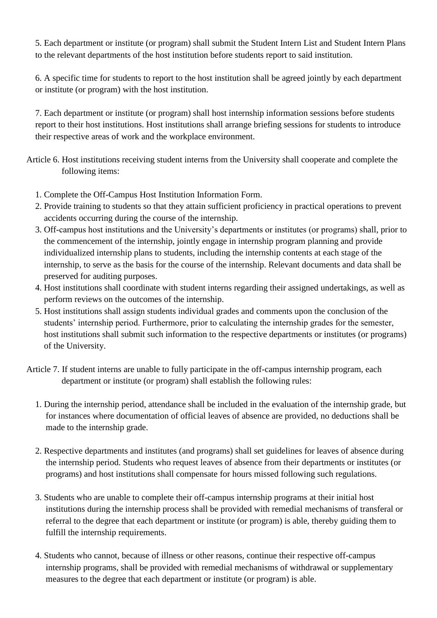5. Each department or institute (or program) shall submit the Student Intern List and Student Intern Plans to the relevant departments of the host institution before students report to said institution.

6. A specific time for students to report to the host institution shall be agreed jointly by each department or institute (or program) with the host institution.

7. Each department or institute (or program) shall host internship information sessions before students report to their host institutions. Host institutions shall arrange briefing sessions for students to introduce their respective areas of work and the workplace environment.

Article 6. Host institutions receiving student interns from the University shall cooperate and complete the following items:

- 1. Complete the Off-Campus Host Institution Information Form.
- 2. Provide training to students so that they attain sufficient proficiency in practical operations to prevent accidents occurring during the course of the internship.
- 3. Off-campus host institutions and the University's departments or institutes (or programs) shall, prior to the commencement of the internship, jointly engage in internship program planning and provide individualized internship plans to students, including the internship contents at each stage of the internship, to serve as the basis for the course of the internship. Relevant documents and data shall be preserved for auditing purposes.
- 4. Host institutions shall coordinate with student interns regarding their assigned undertakings, as well as perform reviews on the outcomes of the internship.
- 5. Host institutions shall assign students individual grades and comments upon the conclusion of the students' internship period. Furthermore, prior to calculating the internship grades for the semester, host institutions shall submit such information to the respective departments or institutes (or programs) of the University.
- Article 7. If student interns are unable to fully participate in the off-campus internship program, each department or institute (or program) shall establish the following rules:
	- 1. During the internship period, attendance shall be included in the evaluation of the internship grade, but for instances where documentation of official leaves of absence are provided, no deductions shall be made to the internship grade.
	- 2. Respective departments and institutes (and programs) shall set guidelines for leaves of absence during the internship period. Students who request leaves of absence from their departments or institutes (or programs) and host institutions shall compensate for hours missed following such regulations.
	- 3. Students who are unable to complete their off-campus internship programs at their initial host institutions during the internship process shall be provided with remedial mechanisms of transferal or referral to the degree that each department or institute (or program) is able, thereby guiding them to fulfill the internship requirements.
	- 4. Students who cannot, because of illness or other reasons, continue their respective off-campus internship programs, shall be provided with remedial mechanisms of withdrawal or supplementary measures to the degree that each department or institute (or program) is able.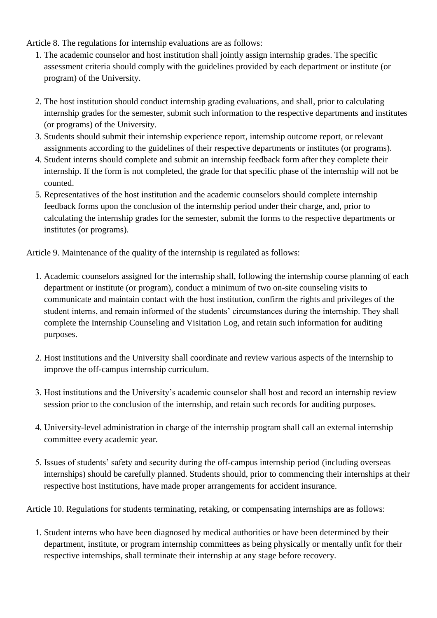Article 8. The regulations for internship evaluations are as follows:

- 1. The academic counselor and host institution shall jointly assign internship grades. The specific assessment criteria should comply with the guidelines provided by each department or institute (or program) of the University.
- 2. The host institution should conduct internship grading evaluations, and shall, prior to calculating internship grades for the semester, submit such information to the respective departments and institutes (or programs) of the University.
- 3. Students should submit their internship experience report, internship outcome report, or relevant assignments according to the guidelines of their respective departments or institutes (or programs).
- 4. Student interns should complete and submit an internship feedback form after they complete their internship. If the form is not completed, the grade for that specific phase of the internship will not be counted.
- 5. Representatives of the host institution and the academic counselors should complete internship feedback forms upon the conclusion of the internship period under their charge, and, prior to calculating the internship grades for the semester, submit the forms to the respective departments or institutes (or programs).

Article 9. Maintenance of the quality of the internship is regulated as follows:

- 1. Academic counselors assigned for the internship shall, following the internship course planning of each department or institute (or program), conduct a minimum of two on-site counseling visits to communicate and maintain contact with the host institution, confirm the rights and privileges of the student interns, and remain informed of the students' circumstances during the internship. They shall complete the Internship Counseling and Visitation Log, and retain such information for auditing purposes.
- 2. Host institutions and the University shall coordinate and review various aspects of the internship to improve the off-campus internship curriculum.
- 3. Host institutions and the University's academic counselor shall host and record an internship review session prior to the conclusion of the internship, and retain such records for auditing purposes.
- 4. University-level administration in charge of the internship program shall call an external internship committee every academic year.
- 5. Issues of students' safety and security during the off-campus internship period (including overseas internships) should be carefully planned. Students should, prior to commencing their internships at their respective host institutions, have made proper arrangements for accident insurance.

Article 10. Regulations for students terminating, retaking, or compensating internships are as follows:

1. Student interns who have been diagnosed by medical authorities or have been determined by their department, institute, or program internship committees as being physically or mentally unfit for their respective internships, shall terminate their internship at any stage before recovery.